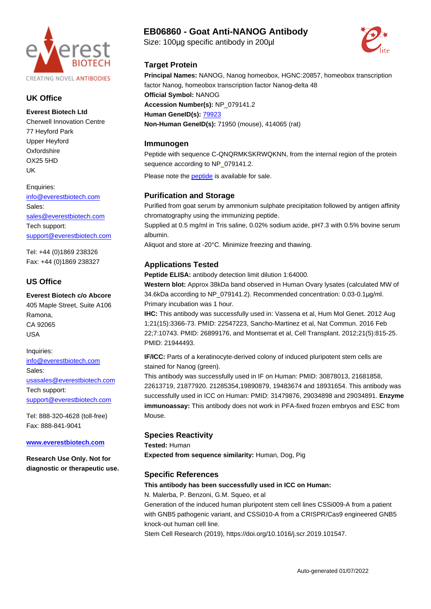

## **UK Office**

**Everest Biotech Ltd** Cherwell Innovation Centre 77 Heyford Park Upper Heyford **Oxfordshire** OX25 5HD UK

Enquiries:

[info@everestbiotech.com](mailto:info@everestbiotech.com) Sales: [sales@everestbiotech.com](mailto:sales@everestbiotech.com) Tech support: [support@everestbiotech.com](mailto:support@everestbiotech.com)

Tel: +44 (0)1869 238326 Fax: +44 (0)1869 238327

## **US Office**

**Everest Biotech c/o Abcore** 405 Maple Street, Suite A106 Ramona, CA 92065 USA

Inquiries: [info@everestbiotech.com](mailto:info@everestbiotech.com) Sales: [usasales@everestbiotech.com](mailto:usasales@everestbiotech.com) Tech support: [support@everestbiotech.com](mailto:support@everestbiotech.com)

Tel: 888-320-4628 (toll-free) Fax: 888-841-9041

#### **[www.everestbiotech.com](http://www.everestbiotech.com)**

**Research Use Only. Not for diagnostic or therapeutic use.**

# **EB06860 - Goat Anti-NANOG Antibody**

Size: 100µg specific antibody in 200µl

**Principal Names:** NANOG, Nanog homeobox, HGNC:20857, homeobox transcription factor Nanog, homeobox transcription factor Nanog-delta 48 **Official Symbol:** NANOG **Accession Number(s):** NP\_079141.2 **Human GeneID(s):** [79923](http://www.ncbi.nlm.nih.gov/entrez/query.fcgi?db=gene&cmd=Retrieve&dopt=Graphics&list_uids=79923) **Non-Human GeneID(s):** 71950 (mouse), 414065 (rat)

## **Immunogen**

**Target Protein**

Peptide with sequence C-QNQRMKSKRWQKNN, from the internal region of the protein sequence according to NP\_079141.2.

Please note the peptide is available for sale.

## **Purification and Storage**

Purified from goat serum by ammonium sulphate precipitation followed by antigen affinity chromatography using the immunizing peptide.

Supplied at 0.5 mg/ml in Tris saline, 0.02% sodium azide, pH7.3 with 0.5% bovine serum albumin.

Aliquot and store at -20°C. Minimize freezing and thawing.

## **Applications Tested**

**Peptide ELISA:** antibody detection limit dilution 1:64000.

**Western blot:** Approx 38kDa band observed in Human Ovary lysates (calculated MW of 34.6kDa according to NP\_079141.2). Recommended concentration: 0.03-0.1µg/ml. Primary incubation was 1 hour.

**IHC:** This antibody was successfully used in: Vassena et al, Hum Mol Genet. 2012 Aug 1;21(15):3366-73. PMID: 22547223, Sancho-Martinez et al, Nat Commun. 2016 Feb 22;7:10743. PMID: 26899176, and Montserrat et al, Cell Transplant. 2012;21(5):815-25. PMID: 21944493.

**IF/ICC:** Parts of a keratinocyte-derived colony of induced pluripotent stem cells are stained for Nanog (green).

This antibody was successfully used in IF on Human: PMID: 30878013, 21681858, 22613719, 21877920. 21285354,19890879, 19483674 and 18931654. This antibody was successfully used in ICC on Human: PMID: 31479876, 29034898 and 29034891. **Enzyme immunoassay:** This antibody does not work in PFA-fixed frozen embryos and ESC from Mouse.

## **Species Reactivity**

**Tested:** Human

**Expected from sequence similarity:** Human, Dog, Pig

## **Specific References**

## **This antibody has been successfully used in ICC on Human:**

N. Malerba, P. Benzoni, G.M. Squeo, et al

Generation of the induced human pluripotent stem cell lines CSSi009-A from a patient with GNB5 pathogenic variant, and CSSi010-A from a CRISPR/Cas9 engineered GNB5 knock-out human cell line.

Stem Cell Research (2019), https://doi.org/10.1016/j.scr.2019.101547.

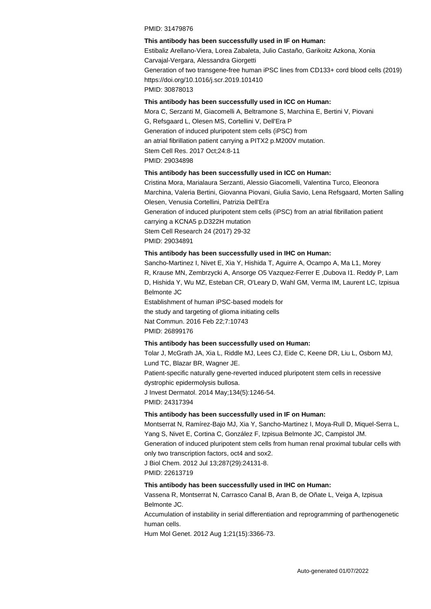#### PMID: 31479876

#### **This antibody has been successfully used in IF on Human:**

Estibaliz Arellano-Viera, Lorea Zabaleta, Julio Castaño, Garikoitz Azkona, Xonia Carvajal-Vergara, Alessandra Giorgetti Generation of two transgene-free human iPSC lines from CD133+ cord blood cells (2019) https://doi.org/10.1016/j.scr.2019.101410 PMID: 30878013

#### **This antibody has been successfully used in ICC on Human:**

Mora C, Serzanti M, Giacomelli A, Beltramone S, Marchina E, Bertini V, Piovani G, Refsgaard L, Olesen MS, Cortellini V, Dell'Era P Generation of induced pluripotent stem cells (iPSC) from an atrial fibrillation patient carrying a PITX2 p.M200V mutation. Stem Cell Res. 2017 Oct;24:8-11 PMID: 29034898

#### **This antibody has been successfully used in ICC on Human:**

Cristina Mora, Marialaura Serzanti, Alessio Giacomelli, Valentina Turco, Eleonora Marchina, Valeria Bertini, Giovanna Piovani, Giulia Savio, Lena Refsgaard, Morten Salling Olesen, Venusia Cortellini, Patrizia Dell'Era Generation of induced pluripotent stem cells (iPSC) from an atrial fibrillation patient carrying a KCNA5 p.D322H mutation Stem Cell Research 24 (2017) 29-32 PMID: 29034891

#### **This antibody has been successfully used in IHC on Human:**

Sancho-Martinez I, Nivet E, Xia Y, Hishida T, Aguirre A, Ocampo A, Ma L1, Morey R, Krause MN, Zembrzycki A, Ansorge O5 Vazquez-Ferrer E ,Dubova I1. Reddy P, Lam D, Hishida Y, Wu MZ, Esteban CR, O'Leary D, Wahl GM, Verma IM, Laurent LC, Izpisua Belmonte JC

Establishment of human iPSC-based models for the study and targeting of glioma initiating cells Nat Commun. 2016 Feb 22;7:10743 PMID: 26899176

#### **This antibody has been successfully used on Human:**

Tolar J, McGrath JA, Xia L, Riddle MJ, Lees CJ, Eide C, Keene DR, Liu L, Osborn MJ, Lund TC, Blazar BR, Wagner JE.

Patient-specific naturally gene-reverted induced pluripotent stem cells in recessive dystrophic epidermolysis bullosa.

J Invest Dermatol. 2014 May;134(5):1246-54. PMID: 24317394

#### **This antibody has been successfully used in IF on Human:**

Montserrat N, Ramírez-Bajo MJ, Xia Y, Sancho-Martinez I, Moya-Rull D, Miquel-Serra L, Yang S, Nivet E, Cortina C, González F, Izpisua Belmonte JC, Campistol JM. Generation of induced pluripotent stem cells from human renal proximal tubular cells with only two transcription factors, oct4 and sox2. J Biol Chem. 2012 Jul 13;287(29):24131-8. PMID: 22613719

#### **This antibody has been successfully used in IHC on Human:**

Vassena R, Montserrat N, Carrasco Canal B, Aran B, de Oñate L, Veiga A, Izpisua Belmonte JC.

Accumulation of instability in serial differentiation and reprogramming of parthenogenetic human cells.

Hum Mol Genet. 2012 Aug 1;21(15):3366-73.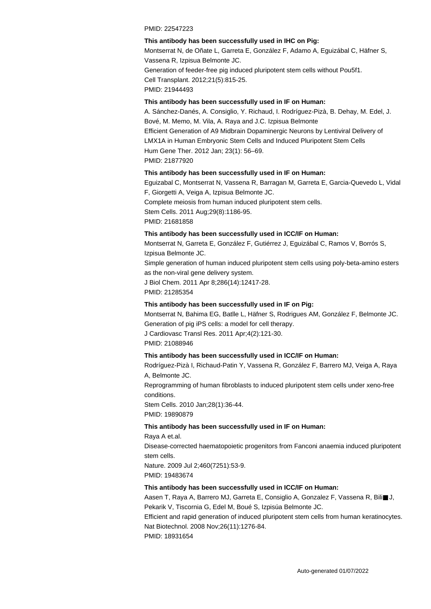#### PMID: 22547223

#### **This antibody has been successfully used in IHC on Pig:**

Montserrat N, de Oñate L, Garreta E, González F, Adamo A, Eguizábal C, Häfner S, Vassena R, Izpisua Belmonte JC. Generation of feeder-free pig induced pluripotent stem cells without Pou5f1. Cell Transplant. 2012;21(5):815-25.

PMID: 21944493

#### **This antibody has been successfully used in IF on Human:**

A. Sánchez-Danés, A. Consiglio, Y. Richaud, I. Rodríguez-Pizà, B. Dehay, M. Edel, J. Bové, M. Memo, M. Vila, A. Raya and J.C. Izpisua Belmonte Efficient Generation of A9 Midbrain Dopaminergic Neurons by Lentiviral Delivery of LMX1A in Human Embryonic Stem Cells and Induced Pluripotent Stem Cells Hum Gene Ther. 2012 Jan; 23(1): 56–69. PMID: 21877920

#### **This antibody has been successfully used in IF on Human:**

Eguizabal C, Montserrat N, Vassena R, Barragan M, Garreta E, Garcia-Quevedo L, Vidal F, Giorgetti A, Veiga A, Izpisua Belmonte JC. Complete meiosis from human induced pluripotent stem cells. Stem Cells. 2011 Aug;29(8):1186-95. PMID: 21681858

### **This antibody has been successfully used in ICC/IF on Human:**

Montserrat N, Garreta E, González F, Gutiérrez J, Eguizábal C, Ramos V, Borrós S, Izpisua Belmonte JC.

Simple generation of human induced pluripotent stem cells using poly-beta-amino esters as the non-viral gene delivery system.

J Biol Chem. 2011 Apr 8;286(14):12417-28. PMID: 21285354

#### **This antibody has been successfully used in IF on Pig:**

Montserrat N, Bahima EG, Batlle L, Häfner S, Rodrigues AM, González F, Belmonte JC. Generation of pig iPS cells: a model for cell therapy.

J Cardiovasc Transl Res. 2011 Apr;4(2):121-30.

PMID: 21088946

#### **This antibody has been successfully used in ICC/IF on Human:**

Rodríguez-Pizà I, Richaud-Patin Y, Vassena R, González F, Barrero MJ, Veiga A, Raya A, Belmonte JC.

Reprogramming of human fibroblasts to induced pluripotent stem cells under xeno-free conditions.

Stem Cells. 2010 Jan;28(1):36-44. PMID: 19890879

#### **This antibody has been successfully used in IF on Human:**

Raya A et.al. Disease-corrected haematopoietic progenitors from Fanconi anaemia induced pluripotent stem cells. Nature. 2009 Jul 2;460(7251):53-9. PMID: 19483674

#### **This antibody has been successfully used in ICC/IF on Human:**

Aasen T, Raya A, Barrero MJ, Garreta E, Consiglio A, Gonzalez F, Vassena R, Bili■ J, Pekarik V, Tiscornia G, Edel M, Boué S, Izpisúa Belmonte JC.

Efficient and rapid generation of induced pluripotent stem cells from human keratinocytes. Nat Biotechnol. 2008 Nov;26(11):1276-84.

PMID: 18931654